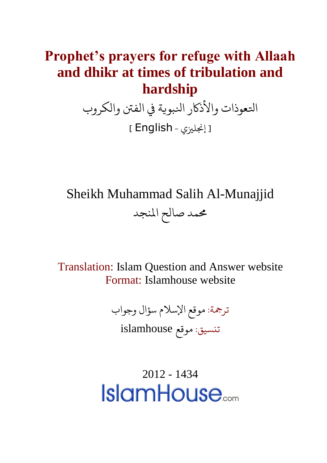## **Prophet's prayers for refuge with Allaah and dhikr at times of tribulation and hardship**

التعوذات والأذكار النبوية في الفتن والكروب ] إجنلزيي - English]

Sheikh Muhammad Salih Al-Munajjid حممد صالح املنجد

Translation: Islam Question and Answer website Format: Islamhouse website

ترجمة: موقع الإسلام سؤال وجواب

تنسيق: موقع islamhouse

2012 - 1434**IslamHouse**<sub>com</sub>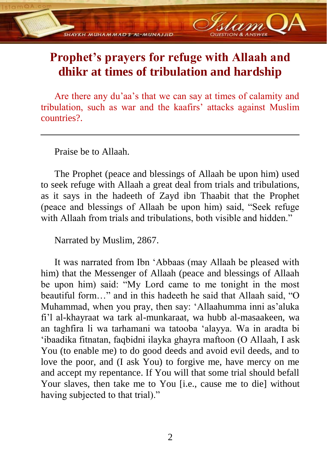## **Prophet's prayers for refuge with Allaah and dhikr at times of tribulation and hardship**

Jam

Are there any du'aa's that we can say at times of calamity and tribulation, such as war and the kaafirs' attacks against Muslim countries?.

Praise be to Allaah.

**SHAYKH MUHAMMAD S AL-MUNAJJIE** 

The Prophet (peace and blessings of Allaah be upon him) used to seek refuge with Allaah a great deal from trials and tribulations, as it says in the hadeeth of Zayd ibn Thaabit that the Prophet (peace and blessings of Allaah be upon him) said, "Seek refuge with Allaah from trials and tribulations, both visible and hidden."

Narrated by Muslim, 2867.

It was narrated from Ibn 'Abbaas (may Allaah be pleased with him) that the Messenger of Allaah (peace and blessings of Allaah be upon him) said: "My Lord came to me tonight in the most beautiful form…" and in this hadeeth he said that Allaah said, "O Muhammad, when you pray, then say: 'Allaahumma inni as'aluka fi'l al-khayraat wa tark al-munkaraat, wa hubb al-masaakeen, wa an taghfira li wa tarhamani wa tatooba 'alayya. Wa in aradta bi 'ibaadika fitnatan, faqbidni ilayka ghayra maftoon (O Allaah, I ask You (to enable me) to do good deeds and avoid evil deeds, and to love the poor, and (I ask You) to forgive me, have mercy on me and accept my repentance. If You will that some trial should befall Your slaves, then take me to You [i.e., cause me to die] without having subjected to that trial)."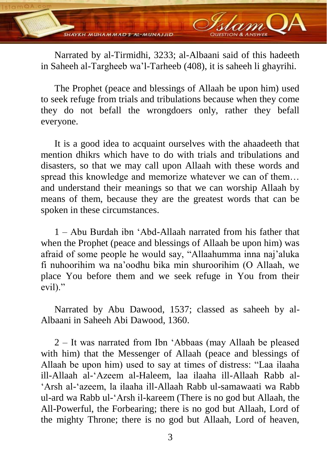

Narrated by al-Tirmidhi, 3233; al-Albaani said of this hadeeth in Saheeh al-Targheeb wa'l-Tarheeb (408), it is saheeh li ghayrihi.

The Prophet (peace and blessings of Allaah be upon him) used to seek refuge from trials and tribulations because when they come they do not befall the wrongdoers only, rather they befall everyone.

It is a good idea to acquaint ourselves with the ahaadeeth that mention dhikrs which have to do with trials and tribulations and disasters, so that we may call upon Allaah with these words and spread this knowledge and memorize whatever we can of them… and understand their meanings so that we can worship Allaah by means of them, because they are the greatest words that can be spoken in these circumstances.

1 – Abu Burdah ibn 'Abd-Allaah narrated from his father that when the Prophet (peace and blessings of Allaah be upon him) was afraid of some people he would say, "Allaahumma inna naj'aluka fi nuhoorihim wa na'oodhu bika min shuroorihim (O Allaah, we place You before them and we seek refuge in You from their evil)."

Narrated by Abu Dawood, 1537; classed as saheeh by al-Albaani in Saheeh Abi Dawood, 1360.

2 – It was narrated from Ibn 'Abbaas (may Allaah be pleased with him) that the Messenger of Allaah (peace and blessings of Allaah be upon him) used to say at times of distress: "Laa ilaaha ill-Allaah al-'Azeem al-Haleem, laa ilaaha ill-Allaah Rabb al- 'Arsh al-'azeem, la ilaaha ill-Allaah Rabb ul-samawaati wa Rabb ul-ard wa Rabb ul-'Arsh il-kareem (There is no god but Allaah, the All-Powerful, the Forbearing; there is no god but Allaah, Lord of the mighty Throne; there is no god but Allaah, Lord of heaven,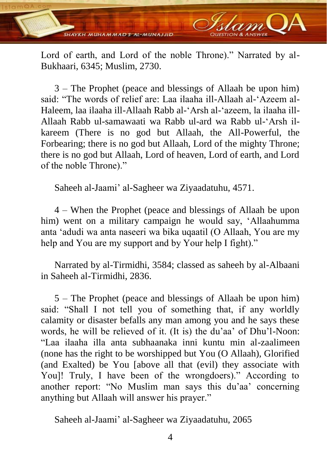

Lord of earth, and Lord of the noble Throne)." Narrated by al-Bukhaari, 6345; Muslim, 2730.

3 – The Prophet (peace and blessings of Allaah be upon him) said: "The words of relief are: Laa ilaaha ill-Allaah al-'Azeem al-Haleem, laa ilaaha ill-Allaah Rabb al-'Arsh al-'azeem, la ilaaha ill-Allaah Rabb ul-samawaati wa Rabb ul-ard wa Rabb ul-'Arsh ilkareem (There is no god but Allaah, the All-Powerful, the Forbearing; there is no god but Allaah, Lord of the mighty Throne; there is no god but Allaah, Lord of heaven, Lord of earth, and Lord of the noble Throne)."

Saheeh al-Jaami' al-Sagheer wa Ziyaadatuhu, 4571.

4 – When the Prophet (peace and blessings of Allaah be upon him) went on a military campaign he would say, 'Allaahumma anta 'adudi wa anta naseeri wa bika uqaatil (O Allaah, You are my help and You are my support and by Your help I fight)."

Narrated by al-Tirmidhi, 3584; classed as saheeh by al-Albaani in Saheeh al-Tirmidhi, 2836.

5 – The Prophet (peace and blessings of Allaah be upon him) said: "Shall I not tell you of something that, if any worldly calamity or disaster befalls any man among you and he says these words, he will be relieved of it. (It is) the du'aa' of Dhu'l-Noon: "Laa ilaaha illa anta subhaanaka inni kuntu min al-zaalimeen (none has the right to be worshipped but You (O Allaah), Glorified (and Exalted) be You [above all that (evil) they associate with You]! Truly, I have been of the wrongdoers)." According to another report: "No Muslim man says this du'aa' concerning anything but Allaah will answer his prayer."

Saheeh al-Jaami' al-Sagheer wa Ziyaadatuhu, 2065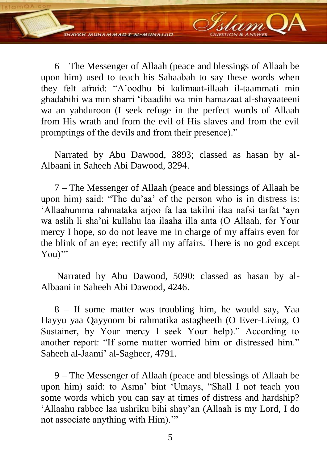6 – The Messenger of Allaah (peace and blessings of Allaah be upon him) used to teach his Sahaabah to say these words when they felt afraid: "A'oodhu bi kalimaat-illaah il-taammati min ghadabihi wa min sharri 'ibaadihi wa min hamazaat al-shayaateeni wa an yahduroon (I seek refuge in the perfect words of Allaah from His wrath and from the evil of His slaves and from the evil promptings of the devils and from their presence)."

**SHAYKH MUHAMMADS AL-MUNAJJID** 

Narrated by Abu Dawood, 3893; classed as hasan by al-Albaani in Saheeh Abi Dawood, 3294.

7 – The Messenger of Allaah (peace and blessings of Allaah be upon him) said: "The du'aa' of the person who is in distress is: 'Allaahumma rahmataka arjoo fa laa takilni ilaa nafsi tarfat 'ayn wa aslih li sha'ni kullahu laa ilaaha illa anta (O Allaah, for Your mercy I hope, so do not leave me in charge of my affairs even for the blink of an eye; rectify all my affairs. There is no god except You)'"

Narrated by Abu Dawood, 5090; classed as hasan by al-Albaani in Saheeh Abi Dawood, 4246.

8 – If some matter was troubling him, he would say, Yaa Hayyu yaa Qayyoom bi rahmatika astagheeth (O Ever-Living, O Sustainer, by Your mercy I seek Your help)." According to another report: "If some matter worried him or distressed him." Saheeh al-Jaami' al-Sagheer, 4791.

9 – The Messenger of Allaah (peace and blessings of Allaah be upon him) said: to Asma' bint 'Umays, "Shall I not teach you some words which you can say at times of distress and hardship? 'Allaahu rabbee laa ushriku bihi shay'an (Allaah is my Lord, I do not associate anything with Him).'"